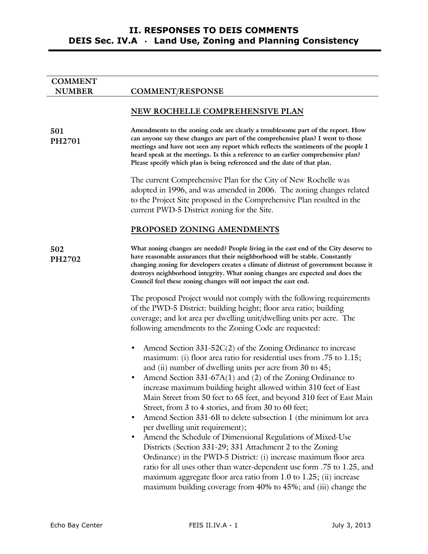# **II. RESPONSES TO DEIS COMMENTS DEIS Sec. IV.A** · **Land Use, Zoning and Planning Consistency**

| <b>COMMENT</b> |                                                                                                                                                                                                                                                                                                                                                                                                                                                                                                                                                                                                                                                                                                                                                                                                                                                                                                                                                                                                                                                 |
|----------------|-------------------------------------------------------------------------------------------------------------------------------------------------------------------------------------------------------------------------------------------------------------------------------------------------------------------------------------------------------------------------------------------------------------------------------------------------------------------------------------------------------------------------------------------------------------------------------------------------------------------------------------------------------------------------------------------------------------------------------------------------------------------------------------------------------------------------------------------------------------------------------------------------------------------------------------------------------------------------------------------------------------------------------------------------|
| <b>NUMBER</b>  | <b>COMMENT/RESPONSE</b>                                                                                                                                                                                                                                                                                                                                                                                                                                                                                                                                                                                                                                                                                                                                                                                                                                                                                                                                                                                                                         |
|                | NEW ROCHELLE COMPREHENSIVE PLAN                                                                                                                                                                                                                                                                                                                                                                                                                                                                                                                                                                                                                                                                                                                                                                                                                                                                                                                                                                                                                 |
| 501<br>PH2701  | Amendments to the zoning code are clearly a troublesome part of the report. How<br>can anyone say these changes are part of the comprehensive plan? I went to those<br>meetings and have not seen any report which reflects the sentiments of the people I<br>heard speak at the meetings. Is this a reference to an earlier comprehensive plan?<br>Please specify which plan is being referenced and the date of that plan.                                                                                                                                                                                                                                                                                                                                                                                                                                                                                                                                                                                                                    |
|                | The current Comprehensive Plan for the City of New Rochelle was<br>adopted in 1996, and was amended in 2006. The zoning changes related<br>to the Project Site proposed in the Comprehensive Plan resulted in the<br>current PWD-5 District zoning for the Site.                                                                                                                                                                                                                                                                                                                                                                                                                                                                                                                                                                                                                                                                                                                                                                                |
|                | PROPOSED ZONING AMENDMENTS                                                                                                                                                                                                                                                                                                                                                                                                                                                                                                                                                                                                                                                                                                                                                                                                                                                                                                                                                                                                                      |
| 502<br>PH2702  | What zoning changes are needed? People living in the east end of the City deserve to<br>have reasonable assurances that their neighborhood will be stable. Constantly<br>changing zoning for developers creates a climate of distrust of government because it<br>destroys neighborhood integrity. What zoning changes are expected and does the<br>Council feel these zoning changes will not impact the east end.                                                                                                                                                                                                                                                                                                                                                                                                                                                                                                                                                                                                                             |
|                | The proposed Project would not comply with the following requirements<br>of the PWD-5 District: building height; floor area ratio; building<br>coverage; and lot area per dwelling unit/dwelling units per acre. The<br>following amendments to the Zoning Code are requested:                                                                                                                                                                                                                                                                                                                                                                                                                                                                                                                                                                                                                                                                                                                                                                  |
|                | Amend Section $331-52C(2)$ of the Zoning Ordinance to increase<br>$\bullet$<br>maximum: (i) floor area ratio for residential uses from .75 to 1.15;<br>and (ii) number of dwelling units per acre from $30$ to $45$ ;<br>Amend Section 331-67A(1) and (2) of the Zoning Ordinance to<br>increase maximum building height allowed within 310 feet of East<br>Main Street from 50 feet to 65 feet, and beyond 310 feet of East Main<br>Street, from 3 to 4 stories, and from 30 to 60 feet;<br>Amend Section 331-6B to delete subsection 1 (the minimum lot area<br>$\bullet$<br>per dwelling unit requirement);<br>Amend the Schedule of Dimensional Regulations of Mixed-Use<br>$\bullet$<br>Districts (Section 331-29; 331 Attachment 2 to the Zoning<br>Ordinance) in the PWD-5 District: (i) increase maximum floor area<br>ratio for all uses other than water-dependent use form .75 to 1.25, and<br>maximum aggregate floor area ratio from 1.0 to 1.25; (ii) increase<br>maximum building coverage from 40% to 45%; and (iii) change the |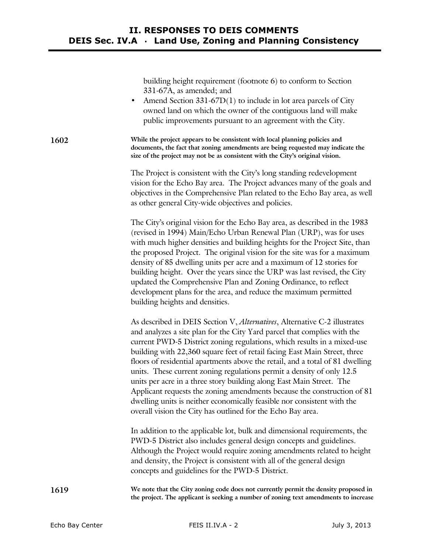building height requirement (footnote 6) to conform to Section 331-67A, as amended; and

• Amend Section  $331-67D(1)$  to include in lot area parcels of City owned land on which the owner of the contiguous land will make public improvements pursuant to an agreement with the City.

**1602 While the project appears to be consistent with local planning policies and documents, the fact that zoning amendments are being requested may indicate the size of the project may not be as consistent with the City's original vision.** 

> The Project is consistent with the City's long standing redevelopment vision for the Echo Bay area. The Project advances many of the goals and objectives in the Comprehensive Plan related to the Echo Bay area, as well as other general City-wide objectives and policies.

> The City's original vision for the Echo Bay area, as described in the 1983 (revised in 1994) Main/Echo Urban Renewal Plan (URP), was for uses with much higher densities and building heights for the Project Site, than the proposed Project. The original vision for the site was for a maximum density of 85 dwelling units per acre and a maximum of 12 stories for building height. Over the years since the URP was last revised, the City updated the Comprehensive Plan and Zoning Ordinance, to reflect development plans for the area, and reduce the maximum permitted building heights and densities.

As described in DEIS Section V, *Alternatives*, Alternative C-2 illustrates and analyzes a site plan for the City Yard parcel that complies with the current PWD-5 District zoning regulations, which results in a mixed-use building with 22,360 square feet of retail facing East Main Street, three floors of residential apartments above the retail, and a total of 81 dwelling units. These current zoning regulations permit a density of only 12.5 units per acre in a three story building along East Main Street. The Applicant requests the zoning amendments because the construction of 81 dwelling units is neither economically feasible nor consistent with the overall vision the City has outlined for the Echo Bay area.

In addition to the applicable lot, bulk and dimensional requirements, the PWD-5 District also includes general design concepts and guidelines. Although the Project would require zoning amendments related to height and density, the Project is consistent with all of the general design concepts and guidelines for the PWD-5 District.

**1619 We note that the City zoning code does not currently permit the density proposed in the project. The applicant is seeking a number of zoning text amendments to increase**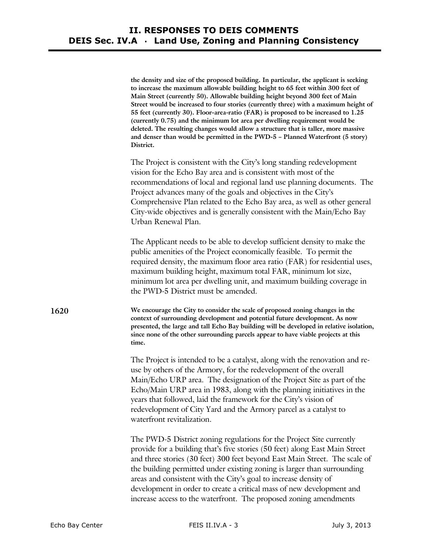|      | the density and size of the proposed building. In particular, the applicant is seeking<br>to increase the maximum allowable building height to 65 feet within 300 feet of<br>Main Street (currently 50). Allowable building height beyond 300 feet of Main<br>Street would be increased to four stories (currently three) with a maximum height of<br>55 feet (currently 30). Floor-area-ratio (FAR) is proposed to be increased to 1.25<br>(currently 0.75) and the minimum lot area per dwelling requirement would be<br>deleted. The resulting changes would allow a structure that is taller, more massive<br>and denser than would be permitted in the PWD-5 - Planned Waterfront (5 story)<br>District. |
|------|---------------------------------------------------------------------------------------------------------------------------------------------------------------------------------------------------------------------------------------------------------------------------------------------------------------------------------------------------------------------------------------------------------------------------------------------------------------------------------------------------------------------------------------------------------------------------------------------------------------------------------------------------------------------------------------------------------------|
|      | The Project is consistent with the City's long standing redevelopment<br>vision for the Echo Bay area and is consistent with most of the<br>recommendations of local and regional land use planning documents. The<br>Project advances many of the goals and objectives in the City's<br>Comprehensive Plan related to the Echo Bay area, as well as other general<br>City-wide objectives and is generally consistent with the Main/Echo Bay<br>Urban Renewal Plan.                                                                                                                                                                                                                                          |
|      | The Applicant needs to be able to develop sufficient density to make the<br>public amenities of the Project economically feasible. To permit the<br>required density, the maximum floor area ratio (FAR) for residential uses,<br>maximum building height, maximum total FAR, minimum lot size,<br>minimum lot area per dwelling unit, and maximum building coverage in<br>the PWD-5 District must be amended.                                                                                                                                                                                                                                                                                                |
| 1620 | We encourage the City to consider the scale of proposed zoning changes in the<br>context of surrounding development and potential future development. As now<br>presented, the large and tall Echo Bay building will be developed in relative isolation,<br>since none of the other surrounding parcels appear to have viable projects at this<br>time.                                                                                                                                                                                                                                                                                                                                                       |
|      | The Project is intended to be a catalyst, along with the renovation and re-<br>use by others of the Armory, for the redevelopment of the overall<br>Main/Echo URP area. The designation of the Project Site as part of the<br>Echo/Main URP area in 1983, along with the planning initiatives in the<br>years that followed, laid the framework for the City's vision of<br>redevelopment of City Yard and the Armory parcel as a catalyst to<br>waterfront revitalization.                                                                                                                                                                                                                                   |
|      | The PWD-5 District zoning regulations for the Project Site currently<br>provide for a building that's five stories (50 feet) along East Main Street<br>and three stories (30 feet) 300 feet beyond East Main Street. The scale of<br>the building permitted under existing zoning is larger than surrounding<br>areas and consistent with the City's goal to increase density of<br>development in order to create a critical mass of new development and<br>increase access to the waterfront. The proposed zoning amendments                                                                                                                                                                                |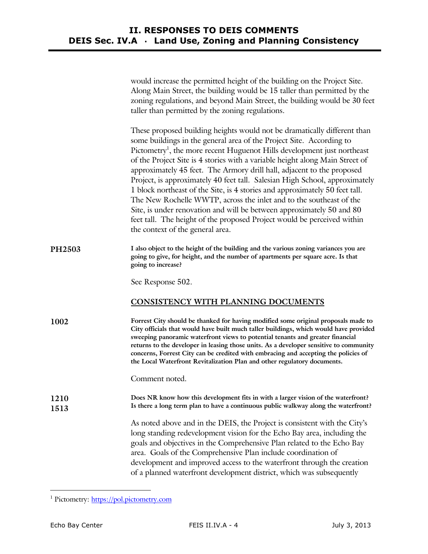|              | would increase the permitted height of the building on the Project Site.<br>Along Main Street, the building would be 15 taller than permitted by the<br>zoning regulations, and beyond Main Street, the building would be 30 feet<br>taller than permitted by the zoning regulations.                                                                                                                                                                                                                                                                                                                                                                                                                                                                                                                                          |
|--------------|--------------------------------------------------------------------------------------------------------------------------------------------------------------------------------------------------------------------------------------------------------------------------------------------------------------------------------------------------------------------------------------------------------------------------------------------------------------------------------------------------------------------------------------------------------------------------------------------------------------------------------------------------------------------------------------------------------------------------------------------------------------------------------------------------------------------------------|
|              | These proposed building heights would not be dramatically different than<br>some buildings in the general area of the Project Site. According to<br>Pictometry <sup>1</sup> , the more recent Huguenot Hills development just northeast<br>of the Project Site is 4 stories with a variable height along Main Street of<br>approximately 45 feet. The Armory drill hall, adjacent to the proposed<br>Project, is approximately 40 feet tall. Salesian High School, approximately<br>1 block northeast of the Site, is 4 stories and approximately 50 feet tall.<br>The New Rochelle WWTP, across the inlet and to the southeast of the<br>Site, is under renovation and will be between approximately 50 and 80<br>feet tall. The height of the proposed Project would be perceived within<br>the context of the general area. |
| PH2503       | I also object to the height of the building and the various zoning variances you are<br>going to give, for height, and the number of apartments per square acre. Is that<br>going to increase?                                                                                                                                                                                                                                                                                                                                                                                                                                                                                                                                                                                                                                 |
|              | See Response 502.                                                                                                                                                                                                                                                                                                                                                                                                                                                                                                                                                                                                                                                                                                                                                                                                              |
|              | CONSISTENCY WITH PLANNING DOCUMENTS                                                                                                                                                                                                                                                                                                                                                                                                                                                                                                                                                                                                                                                                                                                                                                                            |
| 1002         | Forrest City should be thanked for having modified some original proposals made to<br>City officials that would have built much taller buildings, which would have provided<br>sweeping panoramic waterfront views to potential tenants and greater financial<br>returns to the developer in leasing those units. As a developer sensitive to community<br>concerns, Forrest City can be credited with embracing and accepting the policies of<br>the Local Waterfront Revitalization Plan and other regulatory documents.                                                                                                                                                                                                                                                                                                     |
|              | Comment noted.                                                                                                                                                                                                                                                                                                                                                                                                                                                                                                                                                                                                                                                                                                                                                                                                                 |
| 1210<br>1513 | Does NR know how this development fits in with a larger vision of the waterfront?<br>Is there a long term plan to have a continuous public walkway along the waterfront?                                                                                                                                                                                                                                                                                                                                                                                                                                                                                                                                                                                                                                                       |
|              | As noted above and in the DEIS, the Project is consistent with the City's<br>long standing redevelopment vision for the Echo Bay area, including the<br>goals and objectives in the Comprehensive Plan related to the Echo Bay<br>area. Goals of the Comprehensive Plan include coordination of<br>development and improved access to the waterfront through the creation<br>of a planned waterfront development district, which was subsequently                                                                                                                                                                                                                                                                                                                                                                              |

<sup>&</sup>lt;u>I</u><br>I Pictometry: <u>https://pol.pictometry.com</u>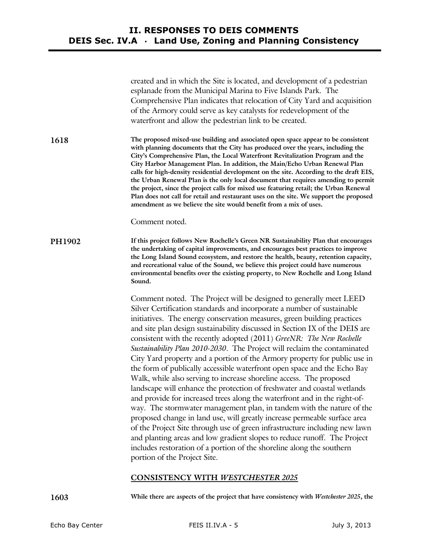|               | created and in which the Site is located, and development of a pedestrian<br>esplanade from the Municipal Marina to Five Islands Park. The<br>Comprehensive Plan indicates that relocation of City Yard and acquisition<br>of the Armory could serve as key catalysts for redevelopment of the<br>waterfront and allow the pedestrian link to be created.                                                                                                                                                                                                                                                                                                                                                                                                                                                                                                                                                                                                                                                                                                                                                                                                                                                                                                                    |
|---------------|------------------------------------------------------------------------------------------------------------------------------------------------------------------------------------------------------------------------------------------------------------------------------------------------------------------------------------------------------------------------------------------------------------------------------------------------------------------------------------------------------------------------------------------------------------------------------------------------------------------------------------------------------------------------------------------------------------------------------------------------------------------------------------------------------------------------------------------------------------------------------------------------------------------------------------------------------------------------------------------------------------------------------------------------------------------------------------------------------------------------------------------------------------------------------------------------------------------------------------------------------------------------------|
| 1618          | The proposed mixed-use building and associated open space appear to be consistent<br>with planning documents that the City has produced over the years, including the<br>City's Comprehensive Plan, the Local Waterfront Revitalization Program and the<br>City Harbor Management Plan. In addition, the Main/Echo Urban Renewal Plan<br>calls for high-density residential development on the site. According to the draft EIS,<br>the Urban Renewal Plan is the only local document that requires amending to permit<br>the project, since the project calls for mixed use featuring retail; the Urban Renewal<br>Plan does not call for retail and restaurant uses on the site. We support the proposed<br>amendment as we believe the site would benefit from a mix of uses.                                                                                                                                                                                                                                                                                                                                                                                                                                                                                             |
|               | Comment noted.                                                                                                                                                                                                                                                                                                                                                                                                                                                                                                                                                                                                                                                                                                                                                                                                                                                                                                                                                                                                                                                                                                                                                                                                                                                               |
| <b>PH1902</b> | If this project follows New Rochelle's Green NR Sustainability Plan that encourages<br>the undertaking of capital improvements, and encourages best practices to improve<br>the Long Island Sound ecosystem, and restore the health, beauty, retention capacity,<br>and recreational value of the Sound, we believe this project could have numerous<br>environmental benefits over the existing property, to New Rochelle and Long Island<br>Sound.                                                                                                                                                                                                                                                                                                                                                                                                                                                                                                                                                                                                                                                                                                                                                                                                                         |
|               | Comment noted. The Project will be designed to generally meet LEED<br>Silver Certification standards and incorporate a number of sustainable<br>initiatives. The energy conservation measures, green building practices<br>and site plan design sustainability discussed in Section IX of the DEIS are<br>consistent with the recently adopted (2011) GreeNR: The New Rochelle<br>Sustainability Plan 2010-2030. The Project will reclaim the contaminated<br>City Yard property and a portion of the Armory property for public use in<br>the form of publically accessible waterfront open space and the Echo Bay<br>Walk, while also serving to increase shoreline access. The proposed<br>landscape will enhance the protection of freshwater and coastal wetlands<br>and provide for increased trees along the waterfront and in the right-of-<br>way. The stormwater management plan, in tandem with the nature of the<br>proposed change in land use, will greatly increase permeable surface area<br>of the Project Site through use of green infrastructure including new lawn<br>and planting areas and low gradient slopes to reduce runoff. The Project<br>includes restoration of a portion of the shoreline along the southern<br>portion of the Project Site. |

## **CONSISTENCY WITH** *WESTCHESTER 2025*

**1603 While there are aspects of the project that have consistency with** *Westchester 2025***, the**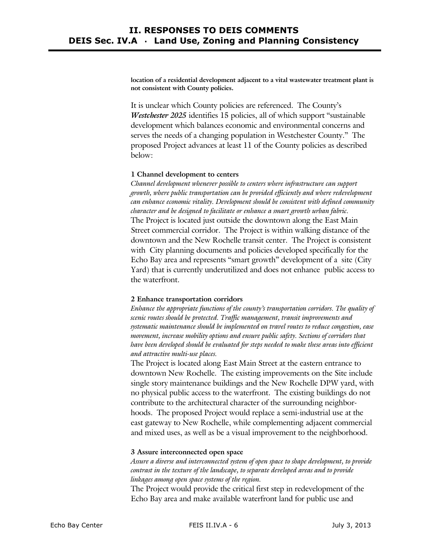**location of a residential development adjacent to a vital wastewater treatment plant is not consistent with County policies.** 

It is unclear which County policies are referenced. The County's *Westchester 2025* identifies 15 policies, all of which support "sustainable development which balances economic and environmental concerns and serves the needs of a changing population in Westchester County." The proposed Project advances at least 11 of the County policies as described below:

### **1 Channel development to centers**

*Channel development whenever possible to centers where infrastructure can support growth, where public transportation can be provided efficiently and where redevelopment can enhance economic vitality. Development should be consistent with defined community character and be designed to facilitate or enhance a smart growth urban fabric.*  The Project is located just outside the downtown along the East Main Street commercial corridor. The Project is within walking distance of the downtown and the New Rochelle transit center. The Project is consistent with City planning documents and policies developed specifically for the Echo Bay area and represents "smart growth" development of a site (City Yard) that is currently underutilized and does not enhance public access to the waterfront.

### **2 Enhance transportation corridors**

*Enhance the appropriate functions of the county's transportation corridors. The quality of scenic routes should be protected. Traffic management, transit improvements and systematic maintenance should be implemented on travel routes to reduce congestion, ease movement, increase mobility options and ensure public safety. Sections of corridors that have been developed should be evaluated for steps needed to make these areas into efficient and attractive multi-use places.* 

The Project is located along East Main Street at the eastern entrance to downtown New Rochelle. The existing improvements on the Site include single story maintenance buildings and the New Rochelle DPW yard, with no physical public access to the waterfront. The existing buildings do not contribute to the architectural character of the surrounding neighborhoods. The proposed Project would replace a semi-industrial use at the east gateway to New Rochelle, while complementing adjacent commercial and mixed uses, as well as be a visual improvement to the neighborhood.

## **3 Assure interconnected open space**

*Assure a diverse and interconnected system of open space to shape development, to provide contrast in the texture of the landscape, to separate developed areas and to provide linkages among open space systems of the region.* 

The Project would provide the critical first step in redevelopment of the Echo Bay area and make available waterfront land for public use and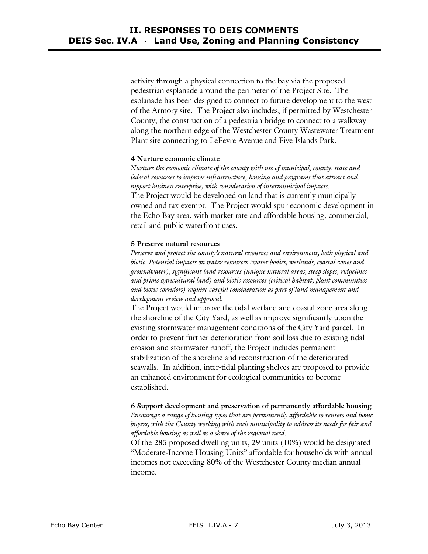activity through a physical connection to the bay via the proposed pedestrian esplanade around the perimeter of the Project Site. The esplanade has been designed to connect to future development to the west of the Armory site. The Project also includes, if permitted by Westchester County, the construction of a pedestrian bridge to connect to a walkway along the northern edge of the Westchester County Wastewater Treatment Plant site connecting to LeFevre Avenue and Five Islands Park.

## **4 Nurture economic climate**

*Nurture the economic climate of the county with use of municipal, county, state and federal resources to improve infrastructure, housing and programs that attract and support business enterprise, with consideration of intermunicipal impacts.*  The Project would be developed on land that is currently municipallyowned and tax-exempt. The Project would spur economic development in the Echo Bay area, with market rate and affordable housing, commercial, retail and public waterfront uses.

## **5 Preserve natural resources**

*Preserve and protect the county's natural resources and environment, both physical and biotic. Potential impacts on water resources (water bodies, wetlands, coastal zones and groundwater), significant land resources (unique natural areas, steep slopes, ridgelines and prime agricultural land) and biotic resources (critical habitat, plant communities and biotic corridors) require careful consideration as part of land management and development review and approval.* 

The Project would improve the tidal wetland and coastal zone area along the shoreline of the City Yard, as well as improve significantly upon the existing stormwater management conditions of the City Yard parcel. In order to prevent further deterioration from soil loss due to existing tidal erosion and stormwater runoff, the Project includes permanent stabilization of the shoreline and reconstruction of the deteriorated seawalls. In addition, inter-tidal planting shelves are proposed to provide an enhanced environment for ecological communities to become established.

## **6 Support development and preservation of permanently affordable housing**  *Encourage a range of housing types that are permanently affordable to renters and home buyers, with the County working with each municipality to address its needs for fair and affordable housing as well as a share of the regional need.*

Of the 285 proposed dwelling units, 29 units (10%) would be designated "Moderate-Income Housing Units" affordable for households with annual incomes not exceeding 80% of the Westchester County median annual income.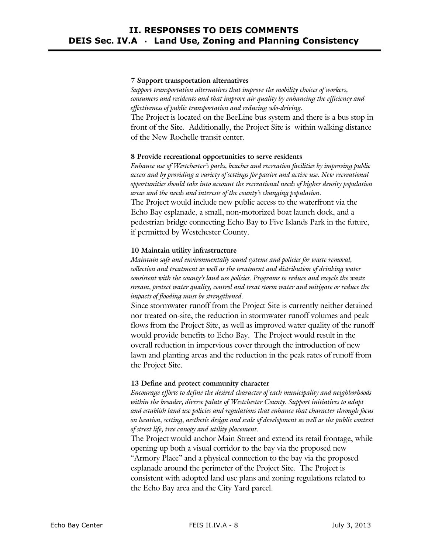# **II. RESPONSES TO DEIS COMMENTS DEIS Sec. IV.A** · **Land Use, Zoning and Planning Consistency**

### **7 Support transportation alternatives**

*Support transportation alternatives that improve the mobility choices of workers, consumers and residents and that improve air quality by enhancing the efficiency and effectiveness of public transportation and reducing solo-driving.* 

The Project is located on the BeeLine bus system and there is a bus stop in front of the Site. Additionally, the Project Site is within walking distance of the New Rochelle transit center.

### **8 Provide recreational opportunities to serve residents**

*Enhance use of Westchester's parks, beaches and recreation facilities by improving public access and by providing a variety of settings for passive and active use. New recreational opportunities should take into account the recreational needs of higher density population areas and the needs and interests of the county's changing population.*  The Project would include new public access to the waterfront via the Echo Bay esplanade, a small, non-motorized boat launch dock, and a pedestrian bridge connecting Echo Bay to Five Islands Park in the future,

if permitted by Westchester County.

#### **10 Maintain utility infrastructure**

*Maintain safe and environmentally sound systems and policies for waste removal, collection and treatment as well as the treatment and distribution of drinking water consistent with the county's land use policies. Programs to reduce and recycle the waste stream, protect water quality, control and treat storm water and mitigate or reduce the impacts of flooding must be strengthened.* 

Since stormwater runoff from the Project Site is currently neither detained nor treated on-site, the reduction in stormwater runoff volumes and peak flows from the Project Site, as well as improved water quality of the runoff would provide benefits to Echo Bay. The Project would result in the overall reduction in impervious cover through the introduction of new lawn and planting areas and the reduction in the peak rates of runoff from the Project Site.

### **13 Define and protect community character**

*Encourage efforts to define the desired character of each municipality and neighborhoods within the broader, diverse palate of Westchester County. Support initiatives to adapt and establish land use policies and regulations that enhance that character through focus on location, setting, aesthetic design and scale of development as well as the public context of street life, tree canopy and utility placement.* 

The Project would anchor Main Street and extend its retail frontage, while opening up both a visual corridor to the bay via the proposed new "Armory Place" and a physical connection to the bay via the proposed esplanade around the perimeter of the Project Site. The Project is consistent with adopted land use plans and zoning regulations related to the Echo Bay area and the City Yard parcel.